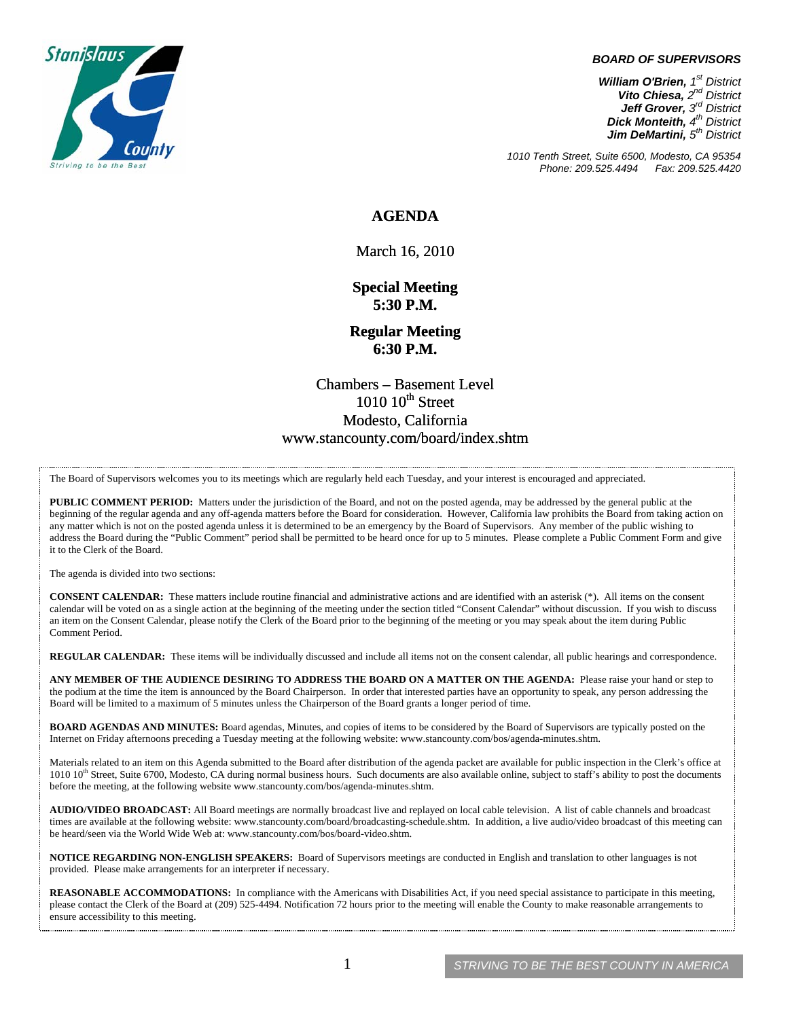

#### *BOARD OF SUPERVISORS*

*William O'Brien, 1st District Vito Chiesa, 2nd District Jeff Grover, 3rd District Dick Monteith, 4th District Jim DeMartini, 5th District*

*1010 Tenth Street, Suite 6500, Modesto, CA 95354 Phone: 209.525.4494* 

#### **AGENDA**

March 16, 2010

**Special Meeting 5:30 P.M.** 

**Regular Meeting 6:30 P.M.** 

Chambers – Basement Level  $1010$   $10^{th}$  Street Modesto, California www.stancounty.com/board/index.shtm

The Board of Supervisors welcomes you to its meetings which are regularly held each Tuesday, and your interest is encouraged and appreciated.

**PUBLIC COMMENT PERIOD:** Matters under the jurisdiction of the Board, and not on the posted agenda, may be addressed by the general public at the beginning of the regular agenda and any off-agenda matters before the Board for consideration. However, California law prohibits the Board from taking action on any matter which is not on the posted agenda unless it is determined to be an emergency by the Board of Supervisors. Any member of the public wishing to address the Board during the "Public Comment" period shall be permitted to be heard once for up to 5 minutes. Please complete a Public Comment Form and give it to the Clerk of the Board.

The agenda is divided into two sections:

**CONSENT CALENDAR:** These matters include routine financial and administrative actions and are identified with an asterisk (\*). All items on the consent calendar will be voted on as a single action at the beginning of the meeting under the section titled "Consent Calendar" without discussion. If you wish to discuss an item on the Consent Calendar, please notify the Clerk of the Board prior to the beginning of the meeting or you may speak about the item during Public Comment Period.

**REGULAR CALENDAR:** These items will be individually discussed and include all items not on the consent calendar, all public hearings and correspondence.

**ANY MEMBER OF THE AUDIENCE DESIRING TO ADDRESS THE BOARD ON A MATTER ON THE AGENDA:** Please raise your hand or step to the podium at the time the item is announced by the Board Chairperson. In order that interested parties have an opportunity to speak, any person addressing the Board will be limited to a maximum of 5 minutes unless the Chairperson of the Board grants a longer period of time.

**BOARD AGENDAS AND MINUTES:** Board agendas, Minutes, and copies of items to be considered by the Board of Supervisors are typically posted on the Internet on Friday afternoons preceding a Tuesday meeting at the following website: www.stancounty.com/bos/agenda-minutes.shtm.

Materials related to an item on this Agenda submitted to the Board after distribution of the agenda packet are available for public inspection in the Clerk's office at  $1010$   $10$ <sup>th</sup> Street, Suite 6700, Modesto, CA during normal business hours. Such documents are also available online, subject to staff's ability to post the documents before the meeting, at the following website www.stancounty.com/bos/agenda-minutes.shtm.

**AUDIO/VIDEO BROADCAST:** All Board meetings are normally broadcast live and replayed on local cable television. A list of cable channels and broadcast times are available at the following website: www.stancounty.com/board/broadcasting-schedule.shtm. In addition, a live audio/video broadcast of this meeting can be heard/seen via the World Wide Web at: www.stancounty.com/bos/board-video.shtm.

**NOTICE REGARDING NON-ENGLISH SPEAKERS:** Board of Supervisors meetings are conducted in English and translation to other languages is not provided. Please make arrangements for an interpreter if necessary.

REASONABLE ACCOMMODATIONS: In compliance with the Americans with Disabilities Act, if you need special assistance to participate in this meeting, please contact the Clerk of the Board at (209) 525-4494. Notification 72 hours prior to the meeting will enable the County to make reasonable arrangements to ensure accessibility to this meeting.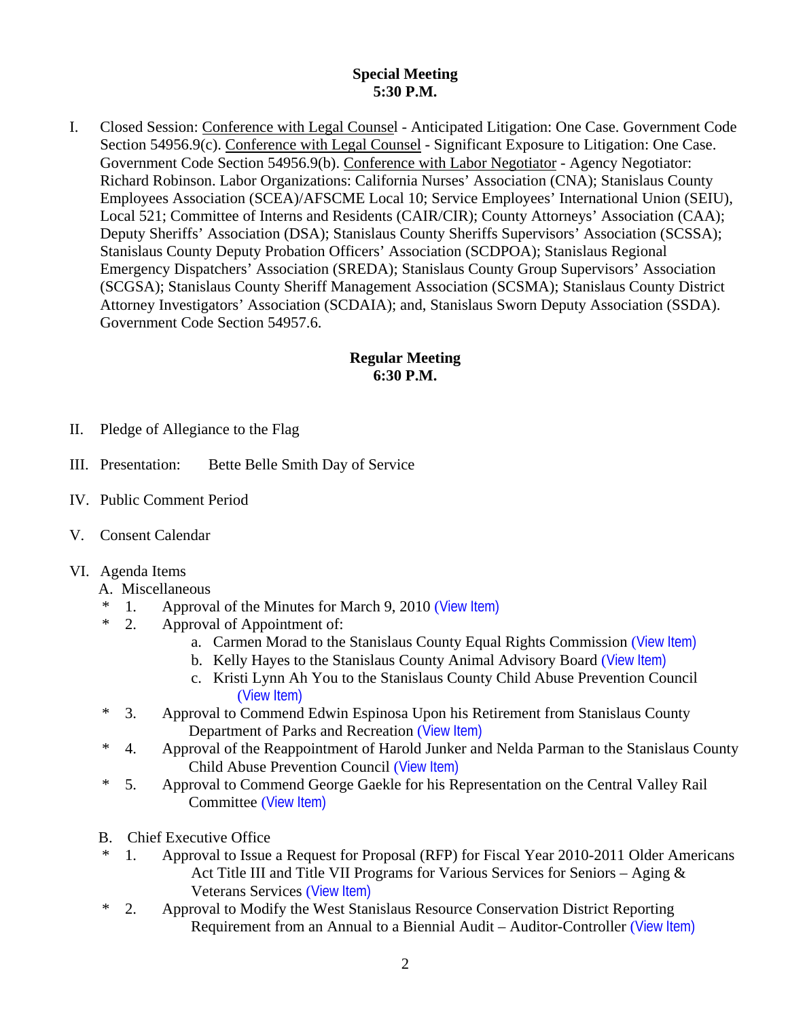## **Special Meeting 5:30 P.M.**

I. Closed Session: Conference with Legal Counsel - Anticipated Litigation: One Case. Government Code Section 54956.9(c). Conference with Legal Counsel - Significant Exposure to Litigation: One Case. Government Code Section 54956.9(b). Conference with Labor Negotiator - Agency Negotiator: Richard Robinson. Labor Organizations: California Nurses' Association (CNA); Stanislaus County Employees Association (SCEA)/AFSCME Local 10; Service Employees' International Union (SEIU), Local 521; Committee of Interns and Residents (CAIR/CIR); County Attorneys' Association (CAA); Deputy Sheriffs' Association (DSA); Stanislaus County Sheriffs Supervisors' Association (SCSSA); Stanislaus County Deputy Probation Officers' Association (SCDPOA); Stanislaus Regional Emergency Dispatchers' Association (SREDA); Stanislaus County Group Supervisors' Association (SCGSA); Stanislaus County Sheriff Management Association (SCSMA); Stanislaus County District Attorney Investigators' Association (SCDAIA); and, Stanislaus Sworn Deputy Association (SSDA). Government Code Section 54957.6.

## **Regular Meeting 6:30 P.M.**

- II. Pledge of Allegiance to the Flag
- III. Presentation: Bette Belle Smith Day of Service
- IV. Public Comment Period
- V. Consent Calendar

### VI. Agenda Items

- A. Miscellaneous
- <sup>\*</sup> 1. Approval of the Minutes for March 9, 2010 ([View Item\)](http://www.stancounty.com/bos/minutes/2010/min03-09-10.pdf)<br>  $\frac{1}{2}$  Approval of Appointment of
- 2. Approval of Appointment of:
	- a. Carmen Morad to the Stanislaus County Equal Rights Commission ([View Item\)](http://www.stancounty.com/bos/agenda/2010/20100316/A02a.pdf)
	- b. Kelly Hayes to the Stanislaus County Animal Advisory Board ([View Item\)](http://www.stancounty.com/bos/agenda/2010/20100316/A02b.pdf)
	- c. Kristi Lynn Ah You to the Stanislaus County Child Abuse Prevention Council ([View Item\)](http://www.stancounty.com/bos/agenda/2010/20100316/A02c.pdf)
- \* 3. Approval to Commend Edwin Espinosa Upon his Retirement from Stanislaus County Department of Parks and Recreation ([View Item\)](http://www.stancounty.com/bos/agenda/2010/20100316/A03.pdf)
- \* 4. Approval of the Reappointment of Harold Junker and Nelda Parman to the Stanislaus County Child Abuse Prevention Council ([View Item\)](http://www.stancounty.com/bos/agenda/2010/20100316/A04.pdf)
- \* 5. Approval to Commend George Gaekle for his Representation on the Central Valley Rail Committee ([View Item\)](http://www.stancounty.com/bos/agenda/2010/20100316/A05.pdf)
- B. Chief Executive Office
- 1. Approval to Issue a Request for Proposal (RFP) for Fiscal Year 2010-2011 Older Americans Act Title III and Title VII Programs for Various Services for Seniors – Aging & Veterans Services ([View Item\)](http://www.stancounty.com/bos/agenda/2010/20100316/B01.pdf)
- \* 2. Approval to Modify the West Stanislaus Resource Conservation District Reporting Requirement from an Annual to a Biennial Audit – Auditor-Controller ([View Item\)](http://www.stancounty.com/bos/agenda/2010/20100316/B02.pdf)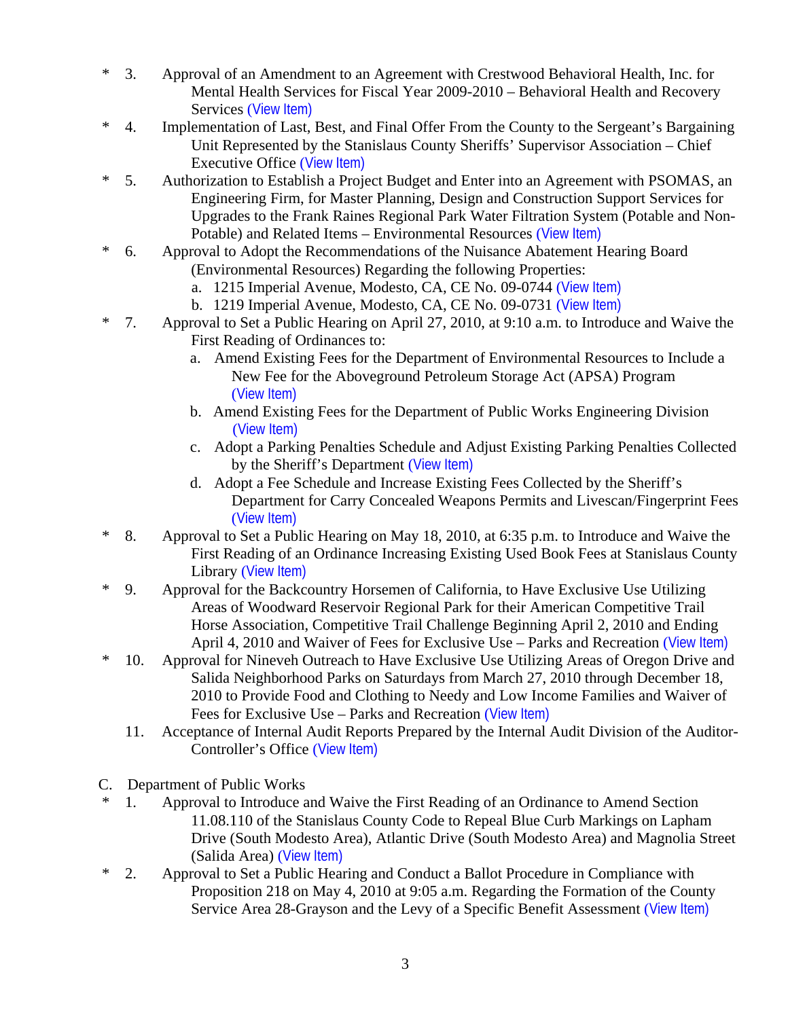- \* 3. Approval of an Amendment to an Agreement with Crestwood Behavioral Health, Inc. for Mental Health Services for Fiscal Year 2009-2010 – Behavioral Health and Recovery Services ([View Item\)](http://www.stancounty.com/bos/agenda/2010/20100316/B03.pdf)
- \* 4. Implementation of Last, Best, and Final Offer From the County to the Sergeant's Bargaining Unit Represented by the Stanislaus County Sheriffs' Supervisor Association – Chief Executive Office ([View Item\)](http://www.stancounty.com/bos/agenda/2010/20100316/B04.pdf)
- \* 5. Authorization to Establish a Project Budget and Enter into an Agreement with PSOMAS, an Engineering Firm, for Master Planning, Design and Construction Support Services for Upgrades to the Frank Raines Regional Park Water Filtration System (Potable and Non-Potable) and Related Items – Environmental Resources ([View Item\)](http://www.stancounty.com/bos/agenda/2010/20100316/B05.pdf)
- \* 6. Approval to Adopt the Recommendations of the Nuisance Abatement Hearing Board (Environmental Resources) Regarding the following Properties:
	- a. 1215 Imperial Avenue, Modesto, CA, CE No. 09-0744 ([View Item\)](http://www.stancounty.com/bos/agenda/2010/20100316/B06a.pdf)
	- b. 1219 Imperial Avenue, Modesto, CA, CE No. 09-0731 ([View Item\)](http://www.stancounty.com/bos/agenda/2010/20100316/B06b.pdf)
- \* 7. Approval to Set a Public Hearing on April 27, 2010, at 9:10 a.m. to Introduce and Waive the First Reading of Ordinances to:
	- a. Amend Existing Fees for the Department of Environmental Resources to Include a New Fee for the Aboveground Petroleum Storage Act (APSA) Program ([View Item\)](http://www.stancounty.com/bos/agenda/2010/20100316/B07a.pdf)
	- b. Amend Existing Fees for the Department of Public Works Engineering Division ([View Item\)](http://www.stancounty.com/bos/agenda/2010/20100316/B07b.pdf)
	- c. Adopt a Parking Penalties Schedule and Adjust Existing Parking Penalties Collected by the Sheriff's Department ([View Item\)](http://www.stancounty.com/bos/agenda/2010/20100316/B07c.pdf)
	- d. Adopt a Fee Schedule and Increase Existing Fees Collected by the Sheriff's Department for Carry Concealed Weapons Permits and Livescan/Fingerprint Fees ([View Item\)](http://www.stancounty.com/bos/agenda/2010/20100316/B07d.pdf)
- \* 8. Approval to Set a Public Hearing on May 18, 2010, at 6:35 p.m. to Introduce and Waive the First Reading of an Ordinance Increasing Existing Used Book Fees at Stanislaus County Library ([View Item\)](http://www.stancounty.com/bos/agenda/2010/20100316/B08.pdf)
- \* 9. Approval for the Backcountry Horsemen of California, to Have Exclusive Use Utilizing Areas of Woodward Reservoir Regional Park for their American Competitive Trail Horse Association, Competitive Trail Challenge Beginning April 2, 2010 and Ending April 4, 2010 and Waiver of Fees for Exclusive Use – Parks and Recreation ([View Item\)](http://www.stancounty.com/bos/agenda/2010/20100316/B09.pdf)
- \* 10. Approval for Nineveh Outreach to Have Exclusive Use Utilizing Areas of Oregon Drive and Salida Neighborhood Parks on Saturdays from March 27, 2010 through December 18, 2010 to Provide Food and Clothing to Needy and Low Income Families and Waiver of Fees for Exclusive Use – Parks and Recreation ([View Item\)](http://www.stancounty.com/bos/agenda/2010/20100316/B10.pdf)
	- 11. Acceptance of Internal Audit Reports Prepared by the Internal Audit Division of the Auditor-Controller's Office ([View Item\)](http://www.stancounty.com/bos/agenda/2010/20100316/B11.pdf)
- C. Department of Public Works
	- 1. Approval to Introduce and Waive the First Reading of an Ordinance to Amend Section 11.08.110 of the Stanislaus County Code to Repeal Blue Curb Markings on Lapham Drive (South Modesto Area), Atlantic Drive (South Modesto Area) and Magnolia Street (Salida Area) ([View Item\)](http://www.stancounty.com/bos/agenda/2010/20100316/C01.pdf)
- \* 2. Approval to Set a Public Hearing and Conduct a Ballot Procedure in Compliance with Proposition 218 on May 4, 2010 at 9:05 a.m. Regarding the Formation of the County Service Area 28-Grayson and the Levy of a Specific Benefit Assessment ([View Item\)](http://www.stancounty.com/bos/agenda/2010/20100316/C02.pdf)